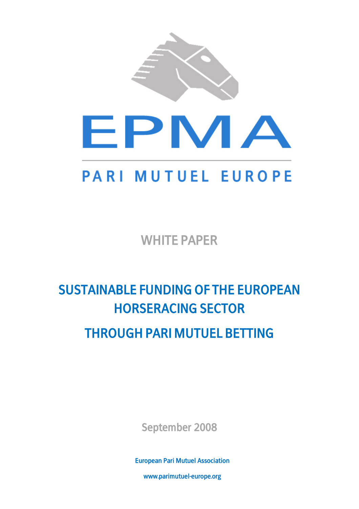

WHITE PAPER

# SUSTAINABLE FUNDING OF THE EUROPEAN HORSERACING SECTOR

# THROUGH PARI MUTUEL BETTING

September 2008

**1** European Pari Mutuel Association

www.parimutuel-europe.org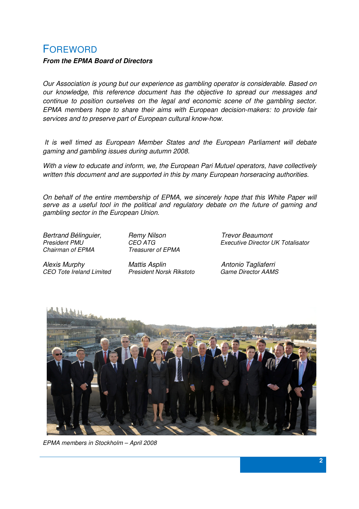### FOREWORD

#### **From the EPMA Board of Directors**

Our Association is young but our experience as gambling operator is considerable. Based on our knowledge, this reference document has the objective to spread our messages and continue to position ourselves on the legal and economic scene of the gambling sector. EPMA members hope to share their aims with European decision-makers: to provide fair services and to preserve part of European cultural know-how.

 It is well timed as European Member States and the European Parliament will debate gaming and gambling issues during autumn 2008.

With a view to educate and inform, we, the European Pari Mutuel operators, have collectively written this document and are supported in this by many European horseracing authorities.

On behalf of the entire membership of EPMA, we sincerely hope that this White Paper will serve as a useful tool in the political and regulatory debate on the future of gaming and gambling sector in the European Union.

Bertrand Bélinguier, Famy Nilson Frevor Beaumont<br>President PMU President PMU<br>CEO ATG CHE Chairman of EPMA<br>Chairman of EPMA Treasurer of EPMA

Alexis Murphy Mattis Asplin Antonio Tagliaferri CEO Tote Ireland Limited

Treasurer of EPMA



EPMA members in Stockholm – April 2008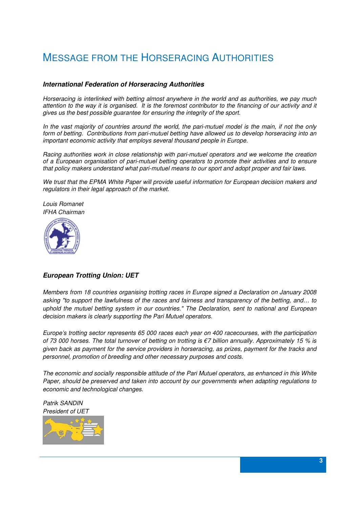# MESSAGE FROM THE HORSERACING AUTHORITIES

#### **International Federation of Horseracing Authorities**

Horseracing is interlinked with betting almost anywhere in the world and as authorities, we pay much attention to the way it is organised. It is the foremost contributor to the financing of our activity and it gives us the best possible guarantee for ensuring the integrity of the sport.

In the vast majority of countries around the world, the pari-mutuel model is the main, if not the only form of betting. Contributions from pari-mutuel betting have allowed us to develop horseracing into an important economic activity that employs several thousand people in Europe.

Racing authorities work in close relationship with pari-mutuel operators and we welcome the creation of a European organisation of pari-mutuel betting operators to promote their activities and to ensure that policy makers understand what pari-mutuel means to our sport and adopt proper and fair laws.

We trust that the EPMA White Paper will provide useful information for European decision makers and regulators in their legal approach of the market.

Louis Romanet IFHA Chairman



#### **European Trotting Union: UET**

Members from 18 countries organising trotting races in Europe signed a Declaration on January 2008 asking "to support the lawfulness of the races and fairness and transparency of the betting, and… to uphold the mutuel betting system in our countries." The Declaration, sent to national and European decision makers is clearly supporting the Pari Mutuel operators.

Europe's trotting sector represents 65 000 races each year on 400 racecourses, with the participation of 73 000 horses. The total turnover of betting on trotting is  $\epsilon$ 7 billion annually. Approximately 15 % is given back as payment for the service providers in horseracing, as prizes, payment for the tracks and personnel, promotion of breeding and other necessary purposes and costs.

The economic and socially responsible attitude of the Pari Mutuel operators, as enhanced in this White Paper, should be preserved and taken into account by our governments when adapting regulations to economic and technological changes.

Patrik SANDIN President of UET

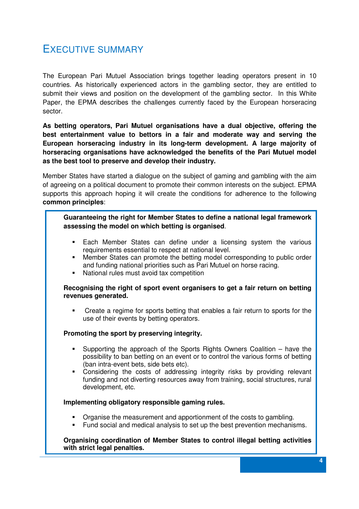### EXECUTIVE SUMMARY

The European Pari Mutuel Association brings together leading operators present in 10 countries. As historically experienced actors in the gambling sector, they are entitled to submit their views and position on the development of the gambling sector. In this White Paper, the EPMA describes the challenges currently faced by the European horseracing sector.

**As betting operators, Pari Mutuel organisations have a dual objective, offering the best entertainment value to bettors in a fair and moderate way and serving the European horseracing industry in its long-term development. A large majority of horseracing organisations have acknowledged the benefits of the Pari Mutuel model as the best tool to preserve and develop their industry.** 

Member States have started a dialogue on the subject of gaming and gambling with the aim of agreeing on a political document to promote their common interests on the subject. EPMA supports this approach hoping it will create the conditions for adherence to the following **common principles**:

#### **Guaranteeing the right for Member States to define a national legal framework assessing the model on which betting is organised**.

- Each Member States can define under a licensing system the various requirements essential to respect at national level.
- Member States can promote the betting model corresponding to public order and funding national priorities such as Pari Mutuel on horse racing.
- National rules must avoid tax competition

#### **Recognising the right of sport event organisers to get a fair return on betting revenues generated.**

 Create a regime for sports betting that enables a fair return to sports for the use of their events by betting operators.

#### **Promoting the sport by preserving integrity.**

- Supporting the approach of the Sports Rights Owners Coalition have the possibility to ban betting on an event or to control the various forms of betting (ban intra-event bets, side bets etc).
- Considering the costs of addressing integrity risks by providing relevant funding and not diverting resources away from training, social structures, rural development, etc.

#### **Implementing obligatory responsible gaming rules.**

- Organise the measurement and apportionment of the costs to gambling.
- Fund social and medical analysis to set up the best prevention mechanisms.

#### **Organising coordination of Member States to control illegal betting activities with strict legal penalties.**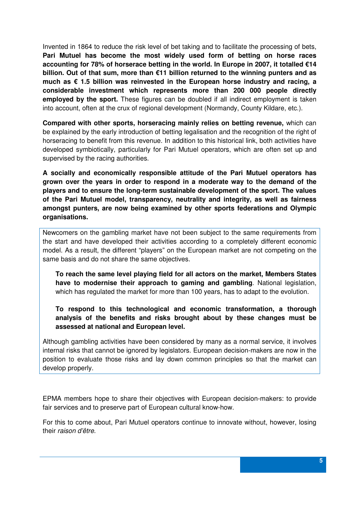Invented in 1864 to reduce the risk level of bet taking and to facilitate the processing of bets, **Pari Mutuel has become the most widely used form of betting on horse races accounting for 78% of horserace betting in the world. In Europe in 2007, it totalled €14 billion. Out of that sum, more than €11 billion returned to the winning punters and as much as € 1.5 billion was reinvested in the European horse industry and racing, a considerable investment which represents more than 200 000 people directly employed by the sport.** These figures can be doubled if all indirect employment is taken into account, often at the crux of regional development (Normandy, County Kildare, etc.).

**Compared with other sports, horseracing mainly relies on betting revenue,** which can be explained by the early introduction of betting legalisation and the recognition of the right of horseracing to benefit from this revenue. In addition to this historical link, both activities have developed symbiotically, particularly for Pari Mutuel operators, which are often set up and supervised by the racing authorities.

**A socially and economically responsible attitude of the Pari Mutuel operators has grown over the years in order to respond in a moderate way to the demand of the players and to ensure the long-term sustainable development of the sport. The values of the Pari Mutuel model, transparency, neutrality and integrity, as well as fairness amongst punters, are now being examined by other sports federations and Olympic organisations.** 

Newcomers on the gambling market have not been subject to the same requirements from the start and have developed their activities according to a completely different economic model. As a result, the different "players" on the European market are not competing on the same basis and do not share the same objectives.

**To reach the same level playing field for all actors on the market, Members States have to modernise their approach to gaming and gambling**. National legislation, which has regulated the market for more than 100 years, has to adapt to the evolution.

**To respond to this technological and economic transformation, a thorough analysis of the benefits and risks brought about by these changes must be assessed at national and European level.** 

Although gambling activities have been considered by many as a normal service, it involves internal risks that cannot be ignored by legislators. European decision-makers are now in the position to evaluate those risks and lay down common principles so that the market can develop properly.

EPMA members hope to share their objectives with European decision-makers: to provide fair services and to preserve part of European cultural know-how.

For this to come about, Pari Mutuel operators continue to innovate without, however, losing their raison d'être.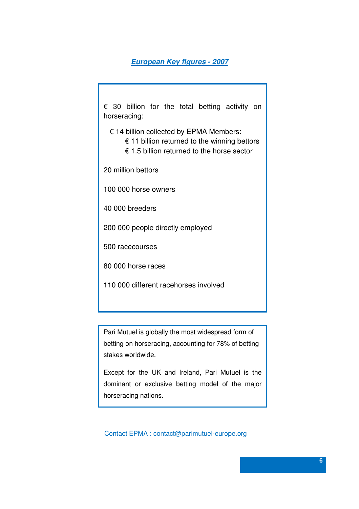#### **European Key figures - 2007**

€ 30 billion for the total betting activity on horseracing:

€ 14 billion collected by EPMA Members:

- $\epsilon$  11 billion returned to the winning bettors
- € 1.5 billion returned to the horse sector

20 million bettors

100 000 horse owners

40 000 breeders

200 000 people directly employed

500 racecourses

80 000 horse races

110 000 different racehorses involved

Pari Mutuel is globally the most widespread form of betting on horseracing, accounting for 78% of betting stakes worldwide.

Except for the UK and Ireland, Pari Mutuel is the dominant or exclusive betting model of the major horseracing nations.

Contact EPMA : contact@parimutuel-europe.org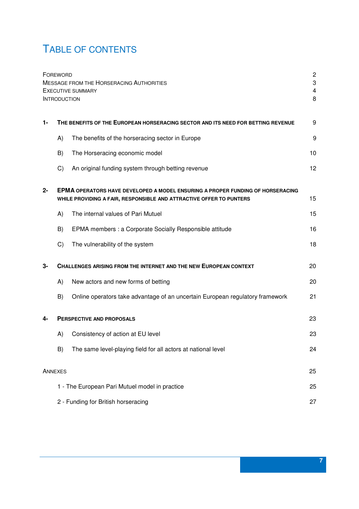# TABLE OF CONTENTS

|       | FOREWORD<br><b>INTRODUCTION</b>                                                                                                                       | <b>MESSAGE FROM THE HORSERACING AUTHORITIES</b><br><b>EXECUTIVE SUMMARY</b>   | $\overline{c}$<br>3<br>4<br>8 |  |  |
|-------|-------------------------------------------------------------------------------------------------------------------------------------------------------|-------------------------------------------------------------------------------|-------------------------------|--|--|
| 1-    | THE BENEFITS OF THE EUROPEAN HORSERACING SECTOR AND ITS NEED FOR BETTING REVENUE                                                                      |                                                                               |                               |  |  |
|       | A)                                                                                                                                                    | The benefits of the horseracing sector in Europe                              | 9                             |  |  |
|       | B)                                                                                                                                                    | The Horseracing economic model                                                | 10                            |  |  |
|       | C)                                                                                                                                                    | An original funding system through betting revenue                            | 12                            |  |  |
| $2 -$ | EPMA OPERATORS HAVE DEVELOPED A MODEL ENSURING A PROPER FUNDING OF HORSERACING<br>WHILE PROVIDING A FAIR, RESPONSIBLE AND ATTRACTIVE OFFER TO PUNTERS |                                                                               |                               |  |  |
|       | A)                                                                                                                                                    | The internal values of Pari Mutuel                                            | 15                            |  |  |
|       | B)                                                                                                                                                    | EPMA members : a Corporate Socially Responsible attitude                      | 16                            |  |  |
|       | C)                                                                                                                                                    | The vulnerability of the system                                               | 18                            |  |  |
| 3-    | <b>CHALLENGES ARISING FROM THE INTERNET AND THE NEW EUROPEAN CONTEXT</b>                                                                              |                                                                               |                               |  |  |
|       | A)                                                                                                                                                    | New actors and new forms of betting                                           | 20                            |  |  |
|       | B)                                                                                                                                                    | Online operators take advantage of an uncertain European regulatory framework | 21                            |  |  |
| 4-    | <b>PERSPECTIVE AND PROPOSALS</b>                                                                                                                      |                                                                               |                               |  |  |
|       | A)                                                                                                                                                    | Consistency of action at EU level                                             | 23                            |  |  |
|       | B)                                                                                                                                                    | The same level-playing field for all actors at national level                 | 24                            |  |  |
|       | ANNEXES                                                                                                                                               |                                                                               | 25                            |  |  |
|       |                                                                                                                                                       | 1 - The European Pari Mutuel model in practice                                | 25                            |  |  |
|       |                                                                                                                                                       | 2 - Funding for British horseracing                                           | 27                            |  |  |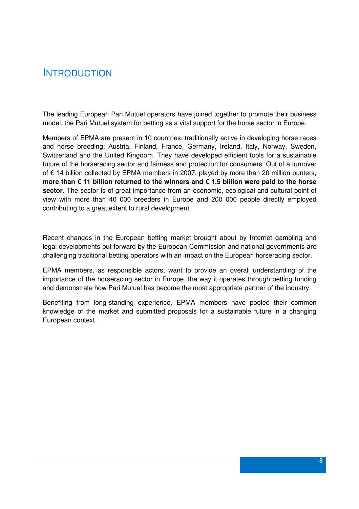### INTRODUCTION

The leading European Pari Mutuel operators have joined together to promote their business model, the Pari Mutuel system for betting as a vital support for the horse sector in Europe.

Members of EPMA are present in 10 countries, traditionally active in developing horse races and horse breeding: Austria, Finland, France, Germany, Ireland, Italy, Norway, Sweden, Switzerland and the United Kingdom. They have developed efficient tools for a sustainable future of the horseracing sector and fairness and protection for consumers. Out of a turnover of € 14 billion collected by EPMA members in 2007, played by more than 20 million punters**, more than € 11 billion returned to the winners and € 1.5 billion were paid to the horse sector.** The sector is of great importance from an economic, ecological and cultural point of view with more than 40 000 breeders in Europe and 200 000 people directly employed contributing to a great extent to rural development.

Recent changes in the European betting market brought about by Internet gambling and legal developments put forward by the European Commission and national governments are challenging traditional betting operators with an impact on the European horseracing sector.

EPMA members, as responsible actors, want to provide an overall understanding of the importance of the horseracing sector in Europe, the way it operates through betting funding and demonstrate how Pari Mutuel has become the most appropriate partner of the industry.

Benefiting from long-standing experience, EPMA members have pooled their common knowledge of the market and submitted proposals for a sustainable future in a changing European context.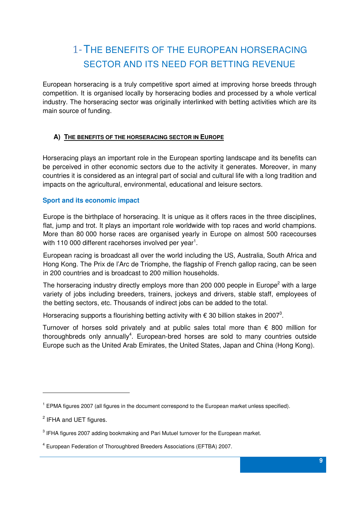# 1-THE BENEFITS OF THE EUROPEAN HORSERACING SECTOR AND ITS NEED FOR BETTING REVENUE

European horseracing is a truly competitive sport aimed at improving horse breeds through competition. It is organised locally by horseracing bodies and processed by a whole vertical industry. The horseracing sector was originally interlinked with betting activities which are its main source of funding.

#### **A) THE BENEFITS OF THE HORSERACING SECTOR IN EUROPE**

Horseracing plays an important role in the European sporting landscape and its benefits can be perceived in other economic sectors due to the activity it generates. Moreover, in many countries it is considered as an integral part of social and cultural life with a long tradition and impacts on the agricultural, environmental, educational and leisure sectors.

#### **Sport and its economic impact**

Europe is the birthplace of horseracing. It is unique as it offers races in the three disciplines, flat, jump and trot. It plays an important role worldwide with top races and world champions. More than 80 000 horse races are organised yearly in Europe on almost 500 racecourses with 110 000 different racehorses involved per year<sup>1</sup>.

European racing is broadcast all over the world including the US, Australia, South Africa and Hong Kong. The Prix de l'Arc de Triomphe, the flagship of French gallop racing, can be seen in 200 countries and is broadcast to 200 million households.

The horseracing industry directly employs more than 200 000 people in Europe<sup>2</sup> with a large variety of jobs including breeders, trainers, jockeys and drivers, stable staff, employees of the betting sectors, etc. Thousands of indirect jobs can be added to the total.

Horseracing supports a flourishing betting activity with  $\epsilon$  30 billion stakes in 2007<sup>3</sup>.

Turnover of horses sold privately and at public sales total more than  $\epsilon$  800 million for thoroughbreds only annually<sup>4</sup>. European-bred horses are sold to many countries outside Europe such as the United Arab Emirates, the United States, Japan and China (Hong Kong).

l

 $1$  EPMA figures 2007 (all figures in the document correspond to the European market unless specified).

<sup>&</sup>lt;sup>2</sup> IFHA and UET figures.

 $3$  IFHA figures 2007 adding bookmaking and Pari Mutuel turnover for the European market.

<sup>&</sup>lt;sup>4</sup> European Federation of Thoroughbred Breeders Associations (EFTBA) 2007.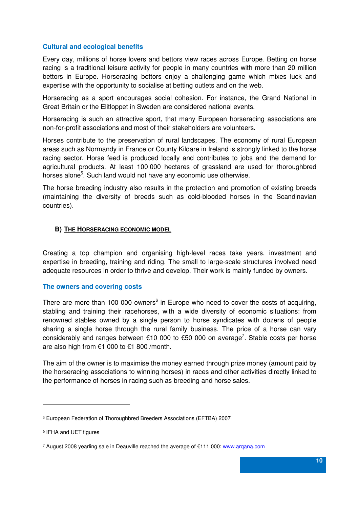#### **Cultural and ecological benefits**

Every day, millions of horse lovers and bettors view races across Europe. Betting on horse racing is a traditional leisure activity for people in many countries with more than 20 million bettors in Europe. Horseracing bettors enjoy a challenging game which mixes luck and expertise with the opportunity to socialise at betting outlets and on the web.

Horseracing as a sport encourages social cohesion. For instance, the Grand National in Great Britain or the Elitloppet in Sweden are considered national events.

Horseracing is such an attractive sport, that many European horseracing associations are non-for-profit associations and most of their stakeholders are volunteers.

Horses contribute to the preservation of rural landscapes. The economy of rural European areas such as Normandy in France or County Kildare in Ireland is strongly linked to the horse racing sector. Horse feed is produced locally and contributes to jobs and the demand for agricultural products. At least 100 000 hectares of grassland are used for thoroughbred horses alone<sup>5</sup>. Such land would not have any economic use otherwise.

The horse breeding industry also results in the protection and promotion of existing breeds (maintaining the diversity of breeds such as cold-blooded horses in the Scandinavian countries).

#### **B) THE HORSERACING ECONOMIC MODEL**

Creating a top champion and organising high-level races take years, investment and expertise in breeding, training and riding. The small to large-scale structures involved need adequate resources in order to thrive and develop. Their work is mainly funded by owners.

#### **The owners and covering costs**

There are more than 100 000 owners<sup>6</sup> in Europe who need to cover the costs of acquiring, stabling and training their racehorses, with a wide diversity of economic situations: from renowned stables owned by a single person to horse syndicates with dozens of people sharing a single horse through the rural family business. The price of a horse can vary considerably and ranges between  $\epsilon$ 10 000 to  $\epsilon$ 50 000 on average<sup>7</sup>. Stable costs per horse are also high from €1 000 to €1 800 /month.

The aim of the owner is to maximise the money earned through prize money (amount paid by the horseracing associations to winning horses) in races and other activities directly linked to the performance of horses in racing such as breeding and horse sales.

l

<sup>5</sup> European Federation of Thoroughbred Breeders Associations (EFTBA) 2007

<sup>6</sup> IFHA and UET figures

<sup>7</sup> August 2008 yearling sale in Deauville reached the average of €111 000: www.arqana.com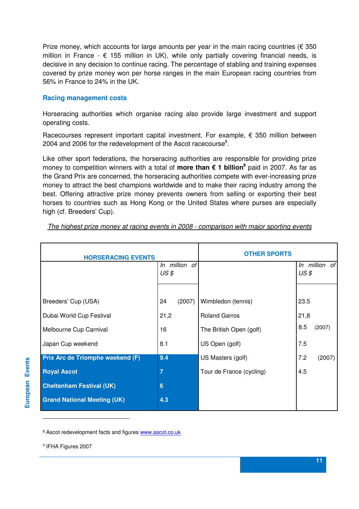Prize money, which accounts for large amounts per year in the main racing countries ( $\epsilon$  350 million in France -  $\epsilon$  155 million in UK), while only partially covering financial needs, is decisive in any decision to continue racing. The percentage of stabling and training expenses covered by prize money won per horse ranges in the main European racing countries from 56% in France to 24% in the UK.

#### **Racing management costs**

Horseracing authorities which organise racing also provide large investment and support operating costs.

Racecourses represent important capital investment. For example,  $\epsilon$  350 million between 2004 and 2006 for the redevelopment of the Ascot racecourse<sup>8</sup>.

Like other sport federations, the horseracing authorities are responsible for providing prize money to competition winners with a total of **more than € 1 billion<sup>9</sup>** paid in 2007. As far as the Grand Prix are concerned, the horseracing authorities compete with ever-increasing prize money to attract the best champions worldwide and to make their racing industry among the best. Offering attractive prize money prevents owners from selling or exporting their best horses to countries such as Hong Kong or the United States where purses are especially high (cf. Breeders' Cup).

| <b>HORSERACING EVENTS</b>          | <b>OTHER SPORTS</b> |                          |               |
|------------------------------------|---------------------|--------------------------|---------------|
|                                    | In million of       |                          | In million of |
|                                    | $US \$              |                          | $US \$        |
|                                    |                     |                          |               |
| Breeders' Cup (USA)                | 24<br>(2007)        | Wimbledon (tennis)       | 23.5          |
| Dubai World Cup Festival           | 21,2                | <b>Roland Garros</b>     | 21,8          |
| Melbourne Cup Carnival             | 16                  | The British Open (golf)  | 8.5<br>(2007) |
| Japan Cup weekend                  | 8.1                 | US Open (golf)           | 7.5           |
| Prix Arc de Triomphe weekend (F)   | 9.4                 | US Masters (golf)        | 7.2<br>(2007) |
| <b>Royal Ascot</b>                 | $\overline{7}$      | Tour de France (cycling) | 4.5           |
| <b>Cheltenham Festival (UK)</b>    | $6\phantom{1}$      |                          |               |
| <b>Grand National Meeting (UK)</b> | 4.3                 |                          |               |

The highest prize money at racing events in 2008 - comparison with major sporting events

8 Ascot redevelopment facts and figures www.ascot.co.uk

<sup>9</sup> IFHA Figures 2007

l

**European Events** European Events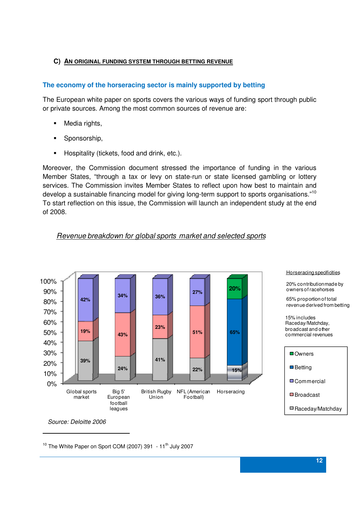#### **C) AN ORIGINAL FUNDING SYSTEM THROUGH BETTING REVENUE**

#### **The economy of the horseracing sector is mainly supported by betting**

The European white paper on sports covers the various ways of funding sport through public or private sources. Among the most common sources of revenue are:

- Media rights,
- **Sponsorship,**
- Hospitality (tickets, food and drink, etc.).

Moreover, the Commission document stressed the importance of funding in the various Member States, "through a tax or levy on state-run or state licensed gambling or lottery services. The Commission invites Member States to reflect upon how best to maintain and develop a sustainable financing model for giving long-term support to sports organisations."<sup>10</sup> To start reflection on this issue, the Commission will launch an independent study at the end of 2008.





#### Horseracing specificities

20% contribution made by owners of racehorses

65% proportion of total revenue derived from betting

15% includes Raceday/Matchday, broadcast and other commercial revenues



Source: Deloitte 2006

 $\overline{a}$ 

 $10$  The White Paper on Sport COM (2007) 391 - 11<sup>th</sup> July 2007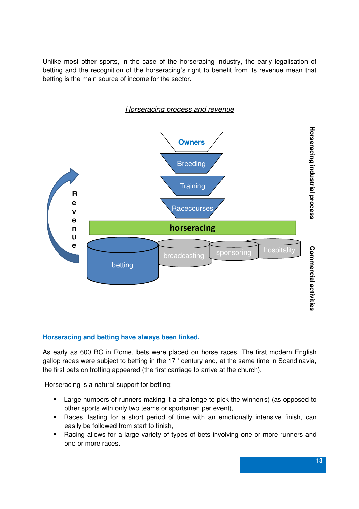Unlike most other sports, in the case of the horseracing industry, the early legalisation of betting and the recognition of the horseracing's right to benefit from its revenue mean that betting is the main source of income for the sector.



#### **Horseracing and betting have always been linked.**

As early as 600 BC in Rome, bets were placed on horse races. The first modern English gallop races were subject to betting in the  $17<sup>th</sup>$  century and, at the same time in Scandinavia, the first bets on trotting appeared (the first carriage to arrive at the church).

Horseracing is a natural support for betting:

- Large numbers of runners making it a challenge to pick the winner(s) (as opposed to other sports with only two teams or sportsmen per event),
- Races, lasting for a short period of time with an emotionally intensive finish, can easily be followed from start to finish,
- Racing allows for a large variety of types of bets involving one or more runners and one or more races.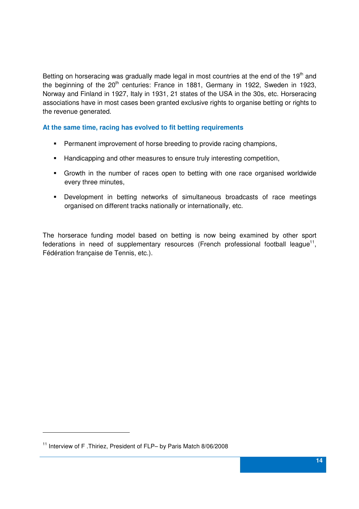Betting on horseracing was gradually made legal in most countries at the end of the  $19<sup>th</sup>$  and the beginning of the 20<sup>th</sup> centuries: France in 1881, Germany in 1922, Sweden in 1923, Norway and Finland in 1927, Italy in 1931, 21 states of the USA in the 30s, etc. Horseracing associations have in most cases been granted exclusive rights to organise betting or rights to the revenue generated.

**At the same time, racing has evolved to fit betting requirements** 

- Permanent improvement of horse breeding to provide racing champions,
- **Handicapping and other measures to ensure truly interesting competition,**
- Growth in the number of races open to betting with one race organised worldwide every three minutes,
- Development in betting networks of simultaneous broadcasts of race meetings organised on different tracks nationally or internationally, etc.

The horserace funding model based on betting is now being examined by other sport federations in need of supplementary resources (French professional football league $^{11}$ , Fédération française de Tennis, etc.).

l

<sup>11</sup> Interview of F .Thiriez, President of FLP– by Paris Match 8/06/2008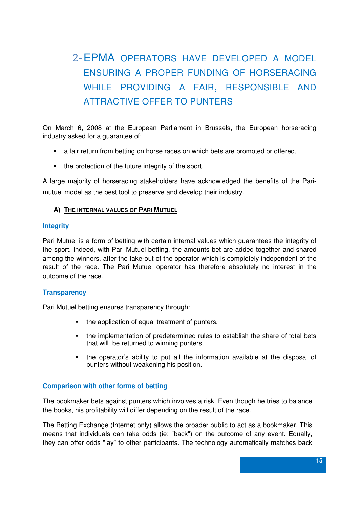# 2-EPMA OPERATORS HAVE DEVELOPED A MODEL ENSURING A PROPER FUNDING OF HORSERACING WHILE PROVIDING A FAIR, RESPONSIBLE AND ATTRACTIVE OFFER TO PUNTERS

On March 6, 2008 at the European Parliament in Brussels, the European horseracing industry asked for a guarantee of:

- a fair return from betting on horse races on which bets are promoted or offered,
- the protection of the future integrity of the sport.

A large majority of horseracing stakeholders have acknowledged the benefits of the Parimutuel model as the best tool to preserve and develop their industry.

#### **A) THE INTERNAL VALUES OF PARI MUTUEL**

#### **Integrity**

Pari Mutuel is a form of betting with certain internal values which guarantees the integrity of the sport. Indeed, with Pari Mutuel betting, the amounts bet are added together and shared among the winners, after the take-out of the operator which is completely independent of the result of the race. The Pari Mutuel operator has therefore absolutely no interest in the outcome of the race.

#### **Transparency**

Pari Mutuel betting ensures transparency through:

- the application of equal treatment of punters,
- the implementation of predetermined rules to establish the share of total bets that will be returned to winning punters,
- the operator's ability to put all the information available at the disposal of punters without weakening his position.

#### **Comparison with other forms of betting**

The bookmaker bets against punters which involves a risk. Even though he tries to balance the books, his profitability will differ depending on the result of the race.

The Betting Exchange (Internet only) allows the broader public to act as a bookmaker. This means that individuals can take odds (ie: "back") on the outcome of any event. Equally, they can offer odds "lay" to other participants. The technology automatically matches back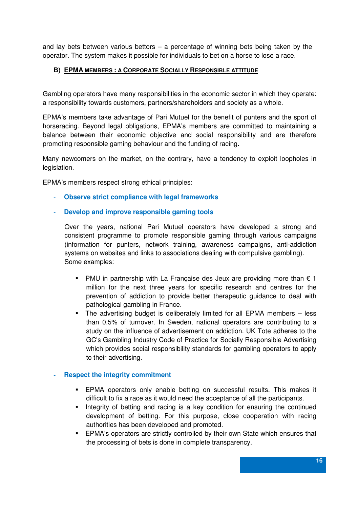and lay bets between various bettors – a percentage of winning bets being taken by the operator. The system makes it possible for individuals to bet on a horse to lose a race.

#### **B) EPMA MEMBERS : A CORPORATE SOCIALLY RESPONSIBLE ATTITUDE**

Gambling operators have many responsibilities in the economic sector in which they operate: a responsibility towards customers, partners/shareholders and society as a whole.

EPMA's members take advantage of Pari Mutuel for the benefit of punters and the sport of horseracing. Beyond legal obligations, EPMA's members are committed to maintaining a balance between their economic objective and social responsibility and are therefore promoting responsible gaming behaviour and the funding of racing.

Many newcomers on the market, on the contrary, have a tendency to exploit loopholes in legislation.

EPMA's members respect strong ethical principles:

- **Observe strict compliance with legal frameworks**
- **Develop and improve responsible gaming tools**

Over the years, national Pari Mutuel operators have developed a strong and consistent programme to promote responsible gaming through various campaigns (information for punters, network training, awareness campaigns, anti-addiction systems on websites and links to associations dealing with compulsive gambling). Some examples:

- PMU in partnership with La Française des Jeux are providing more than  $\epsilon$  1 million for the next three years for specific research and centres for the prevention of addiction to provide better therapeutic guidance to deal with pathological gambling in France.
- The advertising budget is deliberately limited for all EPMA members less than 0.5% of turnover. In Sweden, national operators are contributing to a study on the influence of advertisement on addiction. UK Tote adheres to the GC's Gambling Industry Code of Practice for Socially Responsible Advertising which provides social responsibility standards for gambling operators to apply to their advertising.

#### **Respect the integrity commitment**

- EPMA operators only enable betting on successful results. This makes it difficult to fix a race as it would need the acceptance of all the participants.
- Integrity of betting and racing is a key condition for ensuring the continued development of betting. For this purpose, close cooperation with racing authorities has been developed and promoted.
- EPMA's operators are strictly controlled by their own State which ensures that the processing of bets is done in complete transparency.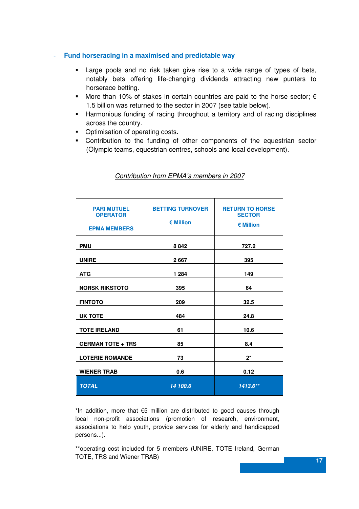#### - **Fund horseracing in a maximised and predictable way**

- Large pools and no risk taken give rise to a wide range of types of bets, notably bets offering life-changing dividends attracting new punters to horserace betting.
- More than 10% of stakes in certain countries are paid to the horse sector;  $\epsilon$ 1.5 billion was returned to the sector in 2007 (see table below).
- Harmonious funding of racing throughout a territory and of racing disciplines across the country.
- Optimisation of operating costs.
- Contribution to the funding of other components of the equestrian sector (Olympic teams, equestrian centres, schools and local development).

| <b>PARI MUTUEL</b><br><b>OPERATOR</b><br><b>EPMA MEMBERS</b> | <b>BETTING TURNOVER</b><br>€ Million | <b>RETURN TO HORSE</b><br><b>SECTOR</b><br>€ Million |
|--------------------------------------------------------------|--------------------------------------|------------------------------------------------------|
| <b>PMU</b>                                                   | 8842                                 | 727.2                                                |
| <b>UNIRE</b>                                                 | 2667                                 | 395                                                  |
| <b>ATG</b>                                                   | 1 2 8 4                              | 149                                                  |
| <b>NORSK RIKSTOTO</b>                                        | 395                                  | 64                                                   |
| <b>FINTOTO</b>                                               | 209                                  | 32.5                                                 |
| <b>UK TOTE</b>                                               | 484                                  | 24.8                                                 |
| <b>TOTE IRELAND</b>                                          | 61                                   | 10.6                                                 |
| <b>GERMAN TOTE + TRS</b>                                     | 85                                   | 8.4                                                  |
| <b>LOTERIE ROMANDE</b>                                       | 73                                   | $2^*$                                                |
| <b>WIENER TRAB</b>                                           | 0.6                                  | 0.12                                                 |
| <b>TOTAL</b>                                                 | 14 100.6                             | $1413.6**$                                           |

#### Contribution from EPMA's members in 2007

\*In addition, more that €5 million are distributed to good causes through local non-profit associations (promotion of research, environment, associations to help youth, provide services for elderly and handicapped persons...).

**17 17** \*\*operating cost included for 5 members (UNIRE, TOTE Ireland, German TOTE, TRS and Wiener TRAB)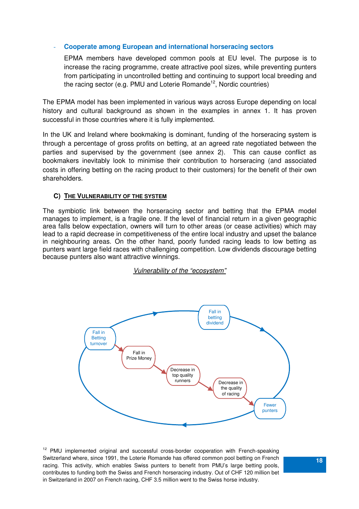#### - **Cooperate among European and international horseracing sectors**

EPMA members have developed common pools at EU level. The purpose is to increase the racing programme, create attractive pool sizes, while preventing punters from participating in uncontrolled betting and continuing to support local breeding and the racing sector (e.g. PMU and Loterie Romande<sup>12</sup>, Nordic countries)

The EPMA model has been implemented in various ways across Europe depending on local history and cultural background as shown in the examples in annex 1. It has proven successful in those countries where it is fully implemented.

In the UK and Ireland where bookmaking is dominant, funding of the horseracing system is through a percentage of gross profits on betting, at an agreed rate negotiated between the parties and supervised by the government (see annex 2). This can cause conflict as bookmakers inevitably look to minimise their contribution to horseracing (and associated costs in offering betting on the racing product to their customers) for the benefit of their own shareholders.

#### **C) THE VULNERABILITY OF THE SYSTEM**

The symbiotic link between the horseracing sector and betting that the EPMA model manages to implement, is a fragile one. If the level of financial return in a given geographic area falls below expectation, owners will turn to other areas (or cease activities) which may lead to a rapid decrease in competitiveness of the entire local industry and upset the balance in neighbouring areas. On the other hand, poorly funded racing leads to low betting as punters want large field races with challenging competition. Low dividends discourage betting because punters also want attractive winnings.





 **18** Switzerland where, since 1991, the Loterie Romande has offered common pool betting on French <sup>12</sup> PMU implemented original and successful cross-border cooperation with French-speaking racing. This activity, which enables Swiss punters to benefit from PMU's large betting pools, contributes to funding both the Swiss and French horseracing industry. Out of CHF 120 million bet in Switzerland in 2007 on French racing, CHF 3.5 million went to the Swiss horse industry.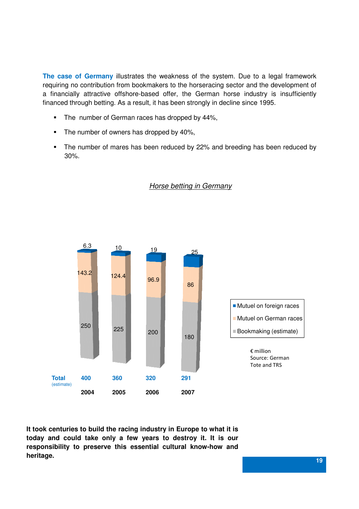**The case of Germany** illustrates the weakness of the system. Due to a legal framework requiring no contribution from bookmakers to the horseracing sector and the development of a financially attractive offshore-based offer, the German horse industry is insufficiently financed through betting. As a result, it has been strongly in decline since 1995.

- The number of German races has dropped by 44%,
- The number of owners has dropped by 40%,
- The number of mares has been reduced by 22% and breeding has been reduced by 30%.



#### Horse betting in Germany

1990 - Paul Barbara, Angles and Angles and Angles and Angles and Angles and Angles and Angles and Angles and A **It took centuries to build the racing industry in Europe to what it is today and could take only a few years to destroy it. It is our responsibility to preserve this essential cultural know-how and heritage.**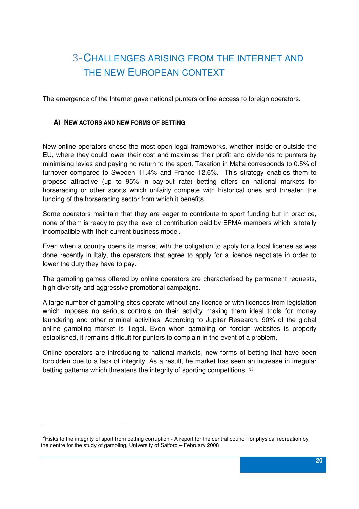# 3-CHALLENGES ARISING FROM THE INTERNET AND THE NEW EUROPEAN CONTEXT

The emergence of the Internet gave national punters online access to foreign operators.

#### **A) NEW ACTORS AND NEW FORMS OF BETTING**

New online operators chose the most open legal frameworks, whether inside or outside the EU, where they could lower their cost and maximise their profit and dividends to punters by minimising levies and paying no return to the sport. Taxation in Malta corresponds to 0.5% of turnover compared to Sweden 11.4% and France 12.6%. This strategy enables them to propose attractive (up to 95% in pay-out rate) betting offers on national markets for horseracing or other sports which unfairly compete with historical ones and threaten the funding of the horseracing sector from which it benefits.

Some operators maintain that they are eager to contribute to sport funding but in practice, none of them is ready to pay the level of contribution paid by EPMA members which is totally incompatible with their current business model.

Even when a country opens its market with the obligation to apply for a local license as was done recently in Italy, the operators that agree to apply for a licence negotiate in order to lower the duty they have to pay.

The gambling games offered by online operators are characterised by permanent requests, high diversity and aggressive promotional campaigns.

A large number of gambling sites operate without any licence or with licences from legislation which imposes no serious controls on their activity making them ideal tools for money laundering and other criminal activities. According to Jupiter Research, 90% of the global online gambling market is illegal. Even when gambling on foreign websites is properly established, it remains difficult for punters to complain in the event of a problem.

Online operators are introducing to national markets, new forms of betting that have been forbidden due to a lack of integrity. As a result, he market has seen an increase in irregular betting patterns which threatens the integrity of sporting competitions 13

l

<sup>&</sup>lt;sup>13</sup>Risks to the integrity of sport from betting corruption - A report for the central council for physical recreation by the centre for the study of gambling, University of Salford – February 2008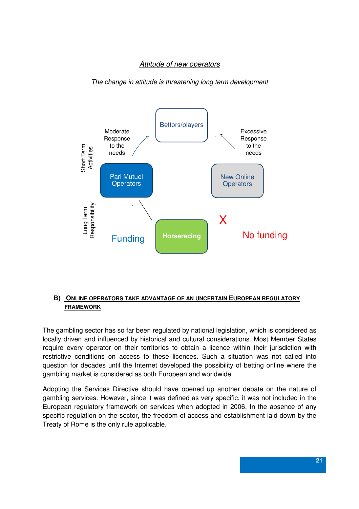#### Attitude of new operators

The change in attitude is threatening long term development



#### **B) ONLINE OPERATORS TAKE ADVANTAGE OF AN UNCERTAIN EUROPEAN REGULATORY FRAMEWORK**

The gambling sector has so far been regulated by national legislation, which is considered as locally driven and influenced by historical and cultural considerations. Most Member States require every operator on their territories to obtain a licence within their jurisdiction with restrictive conditions on access to these licences. Such a situation was not called into question for decades until the Internet developed the possibility of betting online where the gambling market is considered as both European and worldwide.

Adopting the Services Directive should have opened up another debate on the nature of gambling services. However, since it was defined as very specific, it was not included in the European regulatory framework on services when adopted in 2006. In the absence of any specific regulation on the sector, the freedom of access and establishment laid down by the Treaty of Rome is the only rule applicable.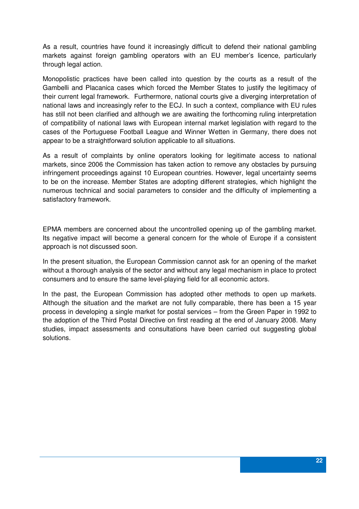As a result, countries have found it increasingly difficult to defend their national gambling markets against foreign gambling operators with an EU member's licence, particularly through legal action.

Monopolistic practices have been called into question by the courts as a result of the Gambelli and Placanica cases which forced the Member States to justify the legitimacy of their current legal framework. Furthermore, national courts give a diverging interpretation of national laws and increasingly refer to the ECJ. In such a context, compliance with EU rules has still not been clarified and although we are awaiting the forthcoming ruling interpretation of compatibility of national laws with European internal market legislation with regard to the cases of the Portuguese Football League and Winner Wetten in Germany, there does not appear to be a straightforward solution applicable to all situations.

As a result of complaints by online operators looking for legitimate access to national markets, since 2006 the Commission has taken action to remove any obstacles by pursuing infringement proceedings against 10 European countries. However, legal uncertainty seems to be on the increase. Member States are adopting different strategies, which highlight the numerous technical and social parameters to consider and the difficulty of implementing a satisfactory framework.

EPMA members are concerned about the uncontrolled opening up of the gambling market. Its negative impact will become a general concern for the whole of Europe if a consistent approach is not discussed soon.

In the present situation, the European Commission cannot ask for an opening of the market without a thorough analysis of the sector and without any legal mechanism in place to protect consumers and to ensure the same level-playing field for all economic actors.

In the past, the European Commission has adopted other methods to open up markets. Although the situation and the market are not fully comparable, there has been a 15 year process in developing a single market for postal services – from the Green Paper in 1992 to the adoption of the Third Postal Directive on first reading at the end of January 2008. Many studies, impact assessments and consultations have been carried out suggesting global solutions.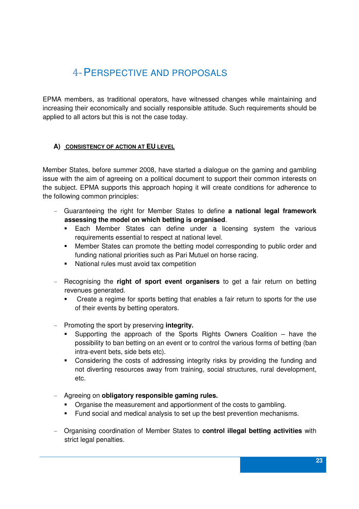### 4-PERSPECTIVE AND PROPOSALS

EPMA members, as traditional operators, have witnessed changes while maintaining and increasing their economically and socially responsible attitude. Such requirements should be applied to all actors but this is not the case today.

#### **A) CONSISTENCY OF ACTION AT EU LEVEL**

Member States, before summer 2008, have started a dialogue on the gaming and gambling issue with the aim of agreeing on a political document to support their common interests on the subject. EPMA supports this approach hoping it will create conditions for adherence to the following common principles:

- Guaranteeing the right for Member States to define **a national legal framework assessing the model on which betting is organised**.
	- **Each Member States can define under a licensing system the various** requirements essential to respect at national level.
	- Member States can promote the betting model corresponding to public order and funding national priorities such as Pari Mutuel on horse racing.
	- National rules must avoid tax competition
- Recognising the **right of sport event organisers** to get a fair return on betting revenues generated.
	- Create a regime for sports betting that enables a fair return to sports for the use of their events by betting operators.
- Promoting the sport by preserving **integrity.** 
	- Supporting the approach of the Sports Rights Owners Coalition have the possibility to ban betting on an event or to control the various forms of betting (ban intra-event bets, side bets etc).
	- Considering the costs of addressing integrity risks by providing the funding and not diverting resources away from training, social structures, rural development, etc.
- Agreeing on **obligatory responsible gaming rules.**
	- Organise the measurement and apportionment of the costs to gambling.
	- Fund social and medical analysis to set up the best prevention mechanisms.
- Organising coordination of Member States to **control illegal betting activities** with strict legal penalties.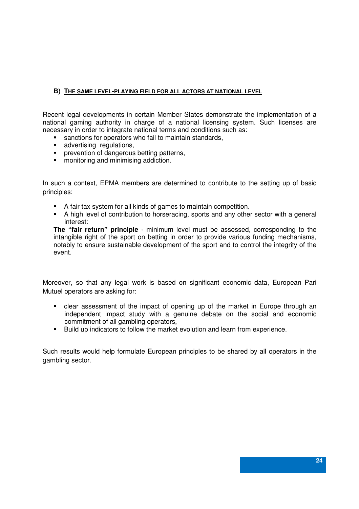#### **B) THE SAME LEVEL-PLAYING FIELD FOR ALL ACTORS AT NATIONAL LEVEL**

Recent legal developments in certain Member States demonstrate the implementation of a national gaming authority in charge of a national licensing system. Such licenses are necessary in order to integrate national terms and conditions such as:

- **sanctions for operators who fail to maintain standards,**
- **advertising regulations,**
- **•** prevention of dangerous betting patterns,
- **•** monitoring and minimising addiction.

In such a context, EPMA members are determined to contribute to the setting up of basic principles:

- A fair tax system for all kinds of games to maintain competition.
- A high level of contribution to horseracing, sports and any other sector with a general interest:

**The "fair return" principle** - minimum level must be assessed, corresponding to the intangible right of the sport on betting in order to provide various funding mechanisms, notably to ensure sustainable development of the sport and to control the integrity of the event.

Moreover, so that any legal work is based on significant economic data, European Pari Mutuel operators are asking for:

- clear assessment of the impact of opening up of the market in Europe through an independent impact study with a genuine debate on the social and economic commitment of all gambling operators,
- Build up indicators to follow the market evolution and learn from experience.

Such results would help formulate European principles to be shared by all operators in the gambling sector.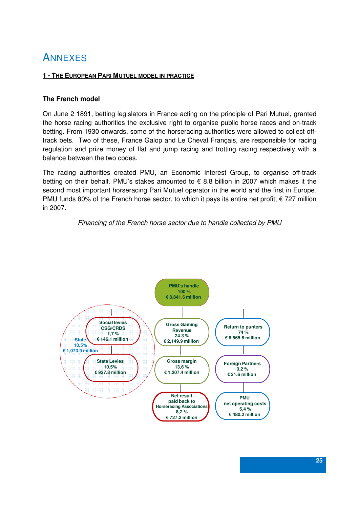### **ANNEXES**

#### **1 - THE EUROPEAN PARI MUTUEL MODEL IN PRACTICE**

#### **The French model**

On June 2 1891, betting legislators in France acting on the principle of Pari Mutuel, granted the horse racing authorities the exclusive right to organise public horse races and on-track betting. From 1930 onwards, some of the horseracing authorities were allowed to collect offtrack bets. Two of these, France Galop and Le Cheval Français, are responsible for racing regulation and prize money of flat and jump racing and trotting racing respectively with a balance between the two codes.

The racing authorities created PMU, an Economic Interest Group, to organise off-track betting on their behalf. PMU's stakes amounted to € 8.8 billion in 2007 which makes it the second most important horseracing Pari Mutuel operator in the world and the first in Europe. PMU funds 80% of the French horse sector, to which it pays its entire net profit,  $\epsilon$  727 million in 2007.

#### Financing of the French horse sector due to handle collected by PMU

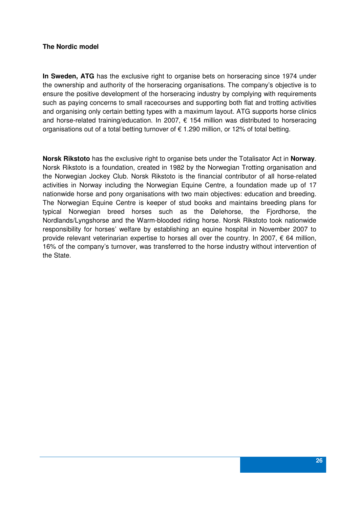#### **The Nordic model**

**In Sweden, ATG** has the exclusive right to organise bets on horseracing since 1974 under the ownership and authority of the horseracing organisations. The company's objective is to ensure the positive development of the horseracing industry by complying with requirements such as paying concerns to small racecourses and supporting both flat and trotting activities and organising only certain betting types with a maximum layout. ATG supports horse clinics and horse-related training/education. In 2007, € 154 million was distributed to horseracing organisations out of a total betting turnover of  $\epsilon$  1.290 million, or 12% of total betting.

**Norsk Rikstoto** has the exclusive right to organise bets under the Totalisator Act in **Norway**. Norsk Rikstoto is a foundation, created in 1982 by the Norwegian Trotting organisation and the Norwegian Jockey Club. Norsk Rikstoto is the financial contributor of all horse-related activities in Norway including the Norwegian Equine Centre, a foundation made up of 17 nationwide horse and pony organisations with two main objectives: education and breeding. The Norwegian Equine Centre is keeper of stud books and maintains breeding plans for typical Norwegian breed horses such as the Dølehorse, the Fjordhorse, the Nordlands/Lyngshorse and the Warm-blooded riding horse. Norsk Rikstoto took nationwide responsibility for horses' welfare by establishing an equine hospital in November 2007 to provide relevant veterinarian expertise to horses all over the country. In 2007,  $\epsilon$  64 million, 16% of the company's turnover, was transferred to the horse industry without intervention of the State.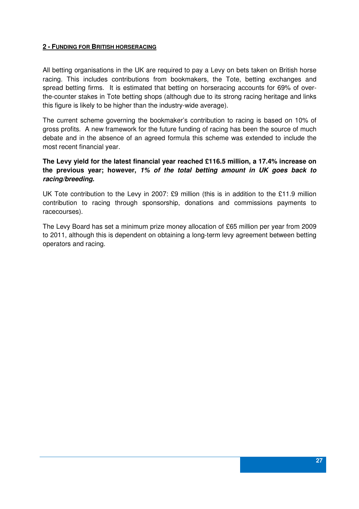#### **2 - FUNDING FOR BRITISH HORSERACING**

All betting organisations in the UK are required to pay a Levy on bets taken on British horse racing. This includes contributions from bookmakers, the Tote, betting exchanges and spread betting firms. It is estimated that betting on horseracing accounts for 69% of overthe-counter stakes in Tote betting shops (although due to its strong racing heritage and links this figure is likely to be higher than the industry-wide average).

The current scheme governing the bookmaker's contribution to racing is based on 10% of gross profits. A new framework for the future funding of racing has been the source of much debate and in the absence of an agreed formula this scheme was extended to include the most recent financial year.

#### **The Levy yield for the latest financial year reached £116.5 million, a 17.4% increase on the previous year; however, 1% of the total betting amount in UK goes back to racing/breeding.**

UK Tote contribution to the Levy in 2007: £9 million (this is in addition to the £11.9 million contribution to racing through sponsorship, donations and commissions payments to racecourses).

The Levy Board has set a minimum prize money allocation of £65 million per year from 2009 to 2011, although this is dependent on obtaining a long-term levy agreement between betting operators and racing.